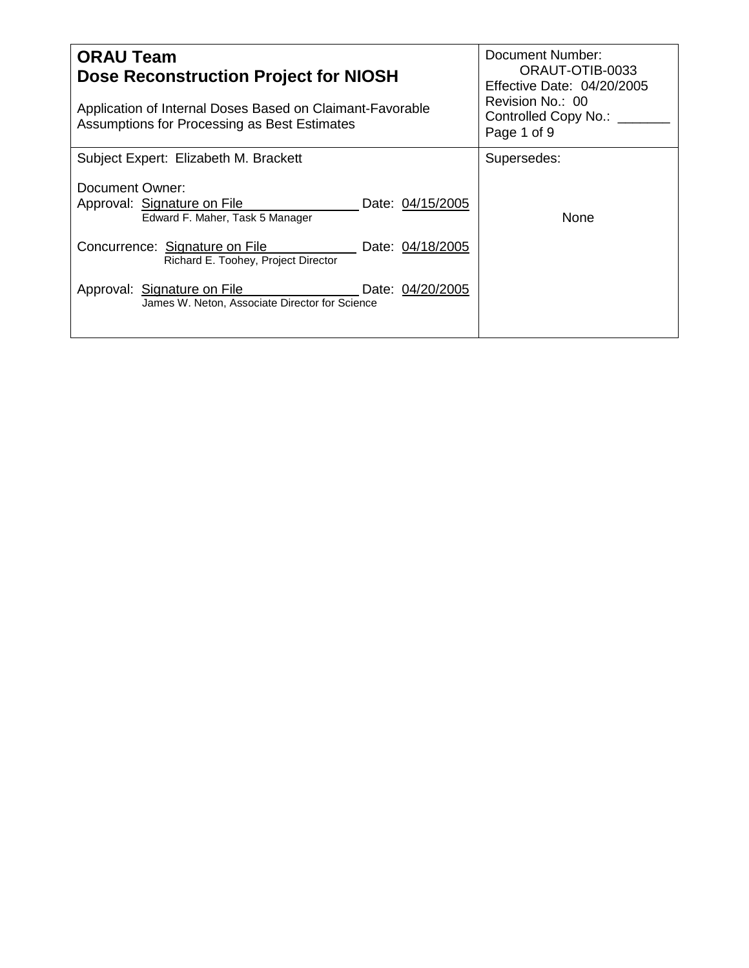| <b>ORAU Team</b><br>Dose Reconstruction Project for NIOSH<br>Application of Internal Doses Based on Claimant-Favorable<br>Assumptions for Processing as Best Estimates | Document Number:<br>ORAUT-OTIB-0033<br><b>Effective Date: 04/20/2005</b><br>Revision No.: 00<br>Controlled Copy No.:<br>Page 1 of 9 |
|------------------------------------------------------------------------------------------------------------------------------------------------------------------------|-------------------------------------------------------------------------------------------------------------------------------------|
| Subject Expert: Elizabeth M. Brackett                                                                                                                                  | Supersedes:                                                                                                                         |
| Document Owner:<br>Approval: Signature on File<br>Date: 04/15/2005<br>Edward F. Maher, Task 5 Manager                                                                  | None                                                                                                                                |
| Date: 04/18/2005<br>Concurrence: Signature on File<br>Richard E. Toohey, Project Director                                                                              |                                                                                                                                     |
| Approval: Signature on File<br>Date: 04/20/2005<br>James W. Neton, Associate Director for Science                                                                      |                                                                                                                                     |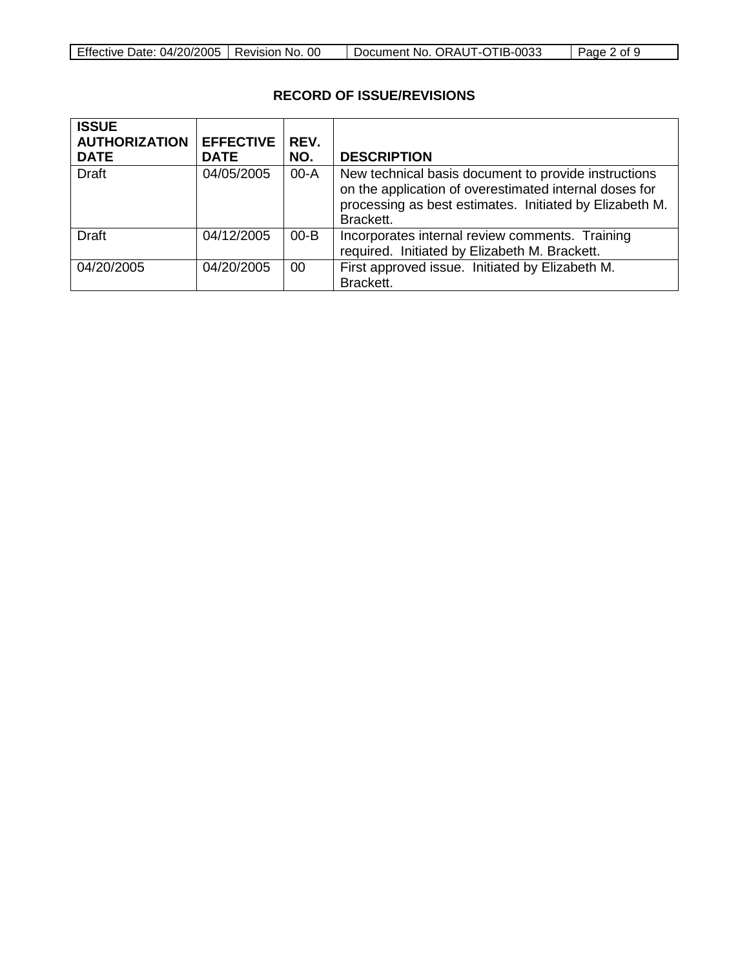|  | Effective Date: 04/20/2005   Revision No. 00 |  | Document No. ORAUT-OTIB-0033 | $\vert$ Page 2 of 9 |
|--|----------------------------------------------|--|------------------------------|---------------------|
|--|----------------------------------------------|--|------------------------------|---------------------|

# **RECORD OF ISSUE/REVISIONS**

| <b>ISSUE</b><br><b>AUTHORIZATION</b><br><b>DATE</b> | <b>EFFECTIVE</b><br><b>DATE</b> | REV.<br>NO. | <b>DESCRIPTION</b>                                                                                                                                                                     |
|-----------------------------------------------------|---------------------------------|-------------|----------------------------------------------------------------------------------------------------------------------------------------------------------------------------------------|
| <b>Draft</b>                                        | 04/05/2005                      | $00 - A$    | New technical basis document to provide instructions<br>on the application of overestimated internal doses for<br>processing as best estimates. Initiated by Elizabeth M.<br>Brackett. |
| <b>Draft</b>                                        | 04/12/2005                      | $00 - B$    | Incorporates internal review comments. Training<br>required. Initiated by Elizabeth M. Brackett.                                                                                       |
| 04/20/2005                                          | 04/20/2005                      | 00          | First approved issue. Initiated by Elizabeth M.<br>Brackett.                                                                                                                           |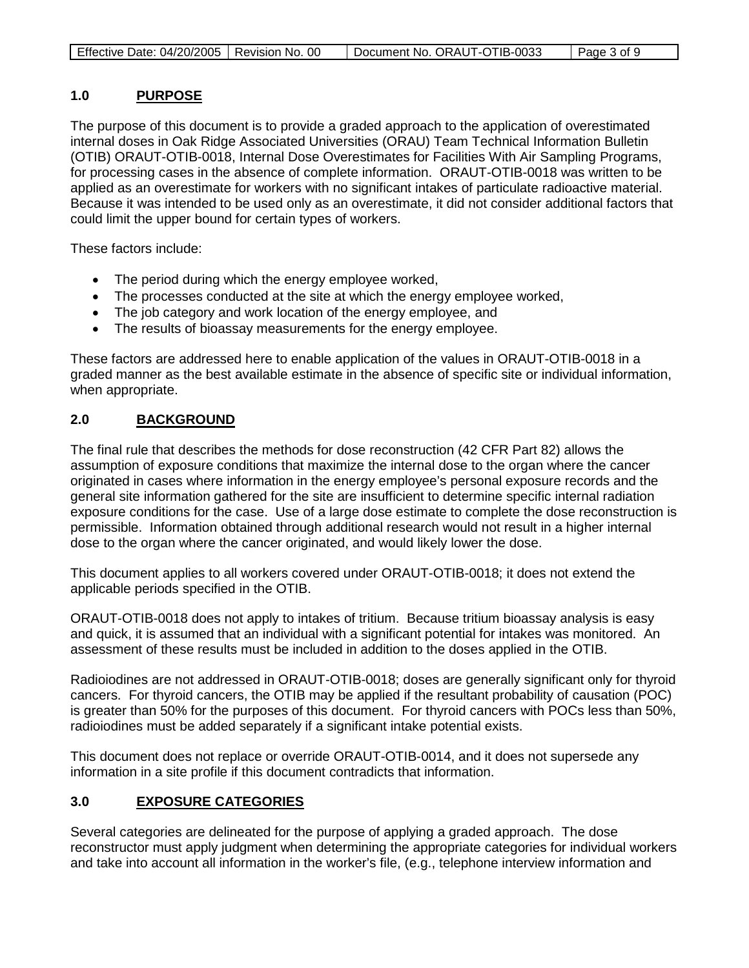| Effective Date: 04/20/2005   Revision No. 00 | Document No. ORAUT-OTIB-0033 | Page 3 of 9 |
|----------------------------------------------|------------------------------|-------------|
|----------------------------------------------|------------------------------|-------------|

#### **1.0 PURPOSE**

The purpose of this document is to provide a graded approach to the application of overestimated internal doses in Oak Ridge Associated Universities (ORAU) Team Technical Information Bulletin (OTIB) ORAUT-OTIB-0018, Internal Dose Overestimates for Facilities With Air Sampling Programs, for processing cases in the absence of complete information. ORAUT-OTIB-0018 was written to be applied as an overestimate for workers with no significant intakes of particulate radioactive material. Because it was intended to be used only as an overestimate, it did not consider additional factors that could limit the upper bound for certain types of workers.

These factors include:

- The period during which the energy employee worked,
- The processes conducted at the site at which the energy employee worked,
- The job category and work location of the energy employee, and
- The results of bioassay measurements for the energy employee.

These factors are addressed here to enable application of the values in ORAUT-OTIB-0018 in a graded manner as the best available estimate in the absence of specific site or individual information, when appropriate.

#### **2.0 BACKGROUND**

The final rule that describes the methods for dose reconstruction (42 CFR Part 82) allows the assumption of exposure conditions that maximize the internal dose to the organ where the cancer originated in cases where information in the energy employee's personal exposure records and the general site information gathered for the site are insufficient to determine specific internal radiation exposure conditions for the case. Use of a large dose estimate to complete the dose reconstruction is permissible. Information obtained through additional research would not result in a higher internal dose to the organ where the cancer originated, and would likely lower the dose.

This document applies to all workers covered under ORAUT-OTIB-0018; it does not extend the applicable periods specified in the OTIB.

ORAUT-OTIB-0018 does not apply to intakes of tritium. Because tritium bioassay analysis is easy and quick, it is assumed that an individual with a significant potential for intakes was monitored. An assessment of these results must be included in addition to the doses applied in the OTIB.

Radioiodines are not addressed in ORAUT-OTIB-0018; doses are generally significant only for thyroid cancers. For thyroid cancers, the OTIB may be applied if the resultant probability of causation (POC) is greater than 50% for the purposes of this document. For thyroid cancers with POCs less than 50%, radioiodines must be added separately if a significant intake potential exists.

This document does not replace or override ORAUT-OTIB-0014, and it does not supersede any information in a site profile if this document contradicts that information.

#### **3.0 EXPOSURE CATEGORIES**

Several categories are delineated for the purpose of applying a graded approach. The dose reconstructor must apply judgment when determining the appropriate categories for individual workers and take into account all information in the worker's file, (e.g., telephone interview information and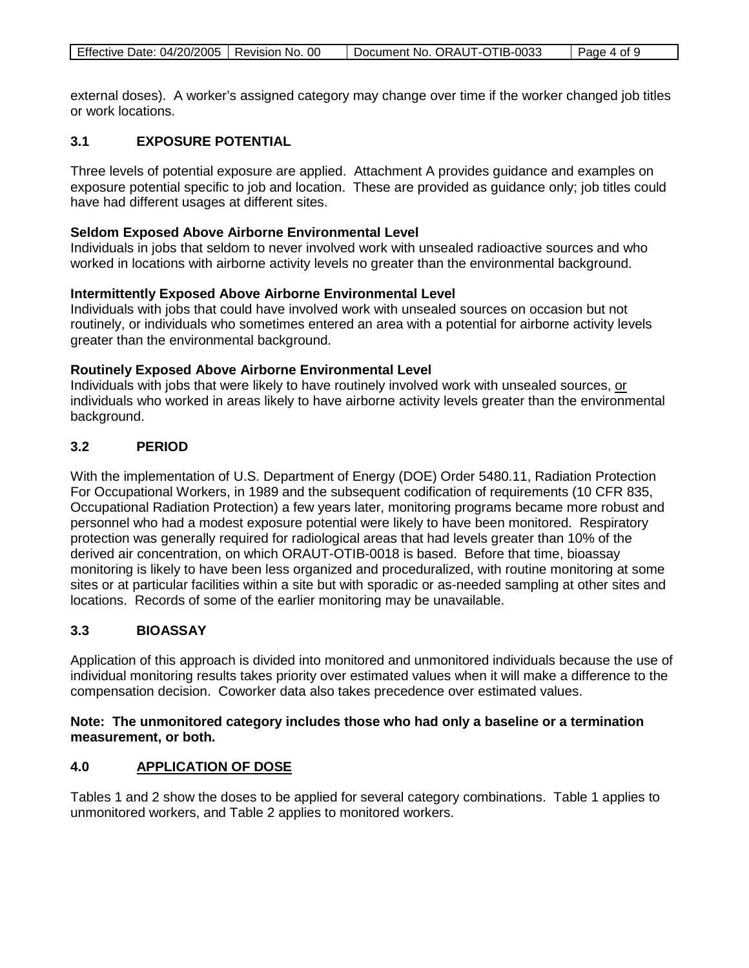| Effective Date: 04/20/2005   Revision No. 00<br>Document No. ORAUT-OTIB-0033 | $\vert$ Page 4 of 9 |
|------------------------------------------------------------------------------|---------------------|
|------------------------------------------------------------------------------|---------------------|

external doses). A worker's assigned category may change over time if the worker changed job titles or work locations.

## **3.1 EXPOSURE POTENTIAL**

Three levels of potential exposure are applied. Attachment A provides guidance and examples on exposure potential specific to job and location. These are provided as guidance only; job titles could have had different usages at different sites.

## **Seldom Exposed Above Airborne Environmental Level**

Individuals in jobs that seldom to never involved work with unsealed radioactive sources and who worked in locations with airborne activity levels no greater than the environmental background.

## **Intermittently Exposed Above Airborne Environmental Level**

Individuals with jobs that could have involved work with unsealed sources on occasion but not routinely, or individuals who sometimes entered an area with a potential for airborne activity levels greater than the environmental background.

## **Routinely Exposed Above Airborne Environmental Level**

Individuals with jobs that were likely to have routinely involved work with unsealed sources, or individuals who worked in areas likely to have airborne activity levels greater than the environmental background.

## **3.2 PERIOD**

With the implementation of U.S. Department of Energy (DOE) Order 5480.11, Radiation Protection For Occupational Workers, in 1989 and the subsequent codification of requirements (10 CFR 835, Occupational Radiation Protection) a few years later, monitoring programs became more robust and personnel who had a modest exposure potential were likely to have been monitored. Respiratory protection was generally required for radiological areas that had levels greater than 10% of the derived air concentration, on which ORAUT-OTIB-0018 is based. Before that time, bioassay monitoring is likely to have been less organized and proceduralized, with routine monitoring at some sites or at particular facilities within a site but with sporadic or as-needed sampling at other sites and locations. Records of some of the earlier monitoring may be unavailable.

## **3.3 BIOASSAY**

Application of this approach is divided into monitored and unmonitored individuals because the use of individual monitoring results takes priority over estimated values when it will make a difference to the compensation decision. Coworker data also takes precedence over estimated values.

## **Note: The unmonitored category includes those who had only a baseline or a termination measurement, or both.**

#### **4.0 APPLICATION OF DOSE**

Tables 1 and 2 show the doses to be applied for several category combinations. Table 1 applies to unmonitored workers, and Table 2 applies to monitored workers.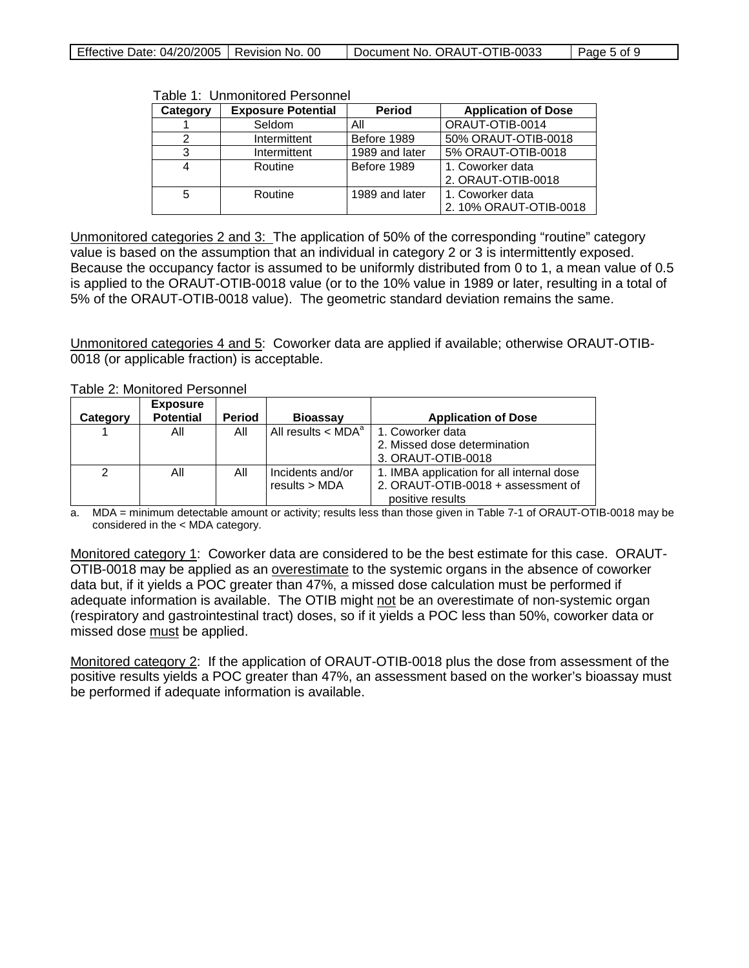| Effective Date: 04/20/2005   Revision No. 00 |  | <sup>1</sup> Document No. ORAUT-OTIB-0033 | Page 5 of 9 |
|----------------------------------------------|--|-------------------------------------------|-------------|
|----------------------------------------------|--|-------------------------------------------|-------------|

Table 1: Unmonitored Personnel

| Category | <b>Exposure Potential</b> | <b>Period</b>  | <b>Application of Dose</b> |
|----------|---------------------------|----------------|----------------------------|
|          | Seldom                    | All            | ORAUT-OTIB-0014            |
|          | Intermittent              | Before 1989    | 50% ORAUT-OTIB-0018        |
|          | Intermittent              | 1989 and later | 5% ORAUT-OTIB-0018         |
|          | Routine                   | Before 1989    | 1. Coworker data           |
|          |                           |                | 2. ORAUT-OTIB-0018         |
| 5        | Routine                   | 1989 and later | 1. Coworker data           |
|          |                           |                | 2. 10% ORAUT-OTIB-0018     |

Unmonitored categories 2 and 3: The application of 50% of the corresponding "routine" category value is based on the assumption that an individual in category 2 or 3 is intermittently exposed. Because the occupancy factor is assumed to be uniformly distributed from 0 to 1, a mean value of 0.5 is applied to the ORAUT-OTIB-0018 value (or to the 10% value in 1989 or later, resulting in a total of 5% of the ORAUT-OTIB-0018 value). The geometric standard deviation remains the same.

Unmonitored categories 4 and 5: Coworker data are applied if available; otherwise ORAUT-OTIB-0018 (or applicable fraction) is acceptable.

|  |  | Table 2: Monitored Personnel |
|--|--|------------------------------|
|--|--|------------------------------|

| Category | <b>Exposure</b><br><b>Potential</b> | <b>Period</b> | <b>Bioassay</b>                    | <b>Application of Dose</b>                |
|----------|-------------------------------------|---------------|------------------------------------|-------------------------------------------|
|          | All                                 | All           | All results $\lt$ MDA <sup>a</sup> | 1. Coworker data                          |
|          |                                     |               |                                    | 2. Missed dose determination              |
|          |                                     |               |                                    | 3. ORAUT-OTIB-0018                        |
| 2        | All                                 | All           | Incidents and/or                   | 1. IMBA application for all internal dose |
|          |                                     |               | results > MDA                      | 2. ORAUT-OTIB-0018 + assessment of        |
|          |                                     |               |                                    | positive results                          |

a. MDA = minimum detectable amount or activity; results less than those given in Table 7-1 of ORAUT-OTIB-0018 may be considered in the < MDA category.

Monitored category 1: Coworker data are considered to be the best estimate for this case. ORAUT-OTIB-0018 may be applied as an overestimate to the systemic organs in the absence of coworker data but, if it yields a POC greater than 47%, a missed dose calculation must be performed if adequate information is available. The OTIB might not be an overestimate of non-systemic organ (respiratory and gastrointestinal tract) doses, so if it yields a POC less than 50%, coworker data or missed dose must be applied.

Monitored category 2: If the application of ORAUT-OTIB-0018 plus the dose from assessment of the positive results yields a POC greater than 47%, an assessment based on the worker's bioassay must be performed if adequate information is available.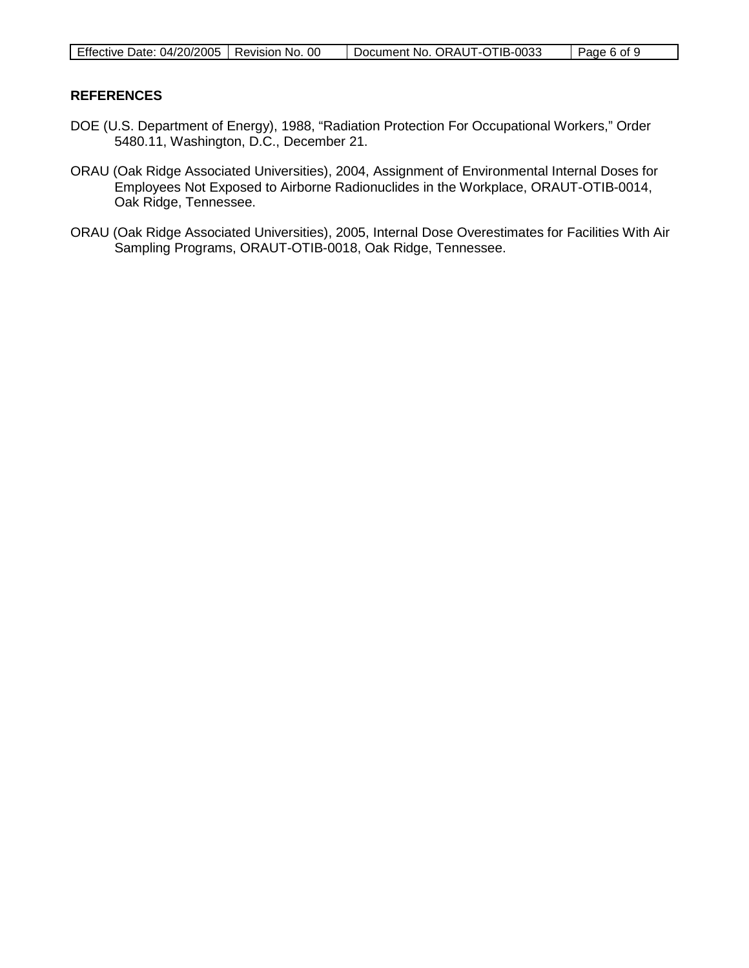| Effective Date: 04/20/2005   Revision No. 00 |  | Document No. ORAUT-OTIB-0033 | Page 6 of 9 |
|----------------------------------------------|--|------------------------------|-------------|
|----------------------------------------------|--|------------------------------|-------------|

### **REFERENCES**

- DOE (U.S. Department of Energy), 1988, "Radiation Protection For Occupational Workers," Order 5480.11, Washington, D.C., December 21.
- ORAU (Oak Ridge Associated Universities), 2004, Assignment of Environmental Internal Doses for Employees Not Exposed to Airborne Radionuclides in the Workplace, ORAUT-OTIB-0014, Oak Ridge, Tennessee.
- ORAU (Oak Ridge Associated Universities), 2005, Internal Dose Overestimates for Facilities With Air Sampling Programs, ORAUT-OTIB-0018, Oak Ridge, Tennessee.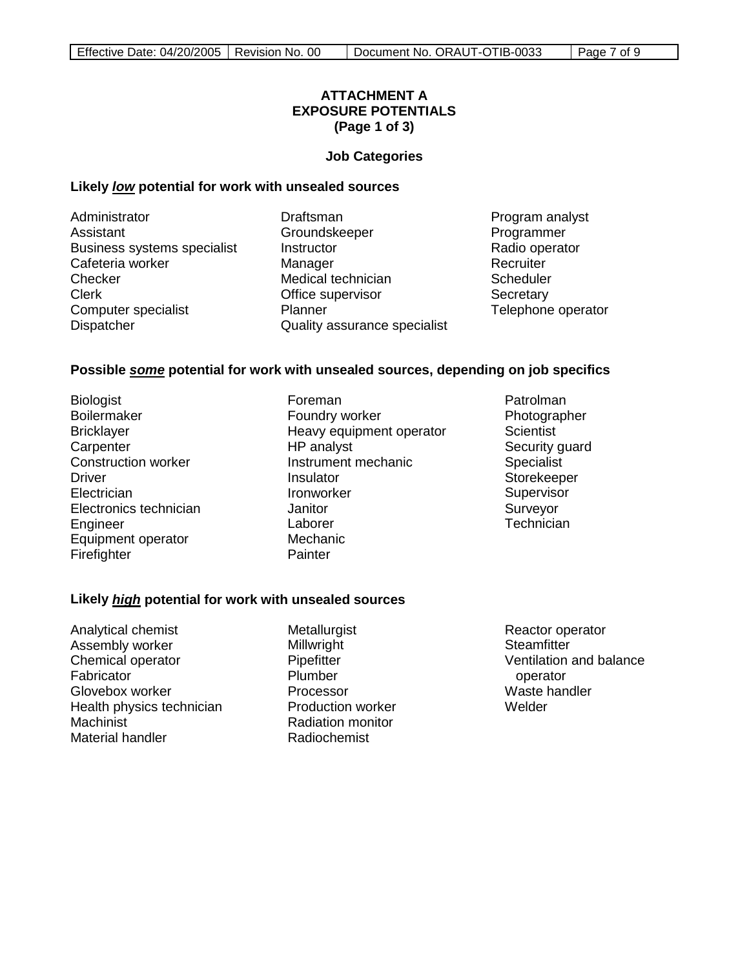## **ATTACHMENT A EXPOSURE POTENTIALS (Page 1 of 3)**

#### **Job Categories**

### **Likely** *low* **potential for work with unsealed sources**

Administrator Assistant Business systems specialist Cafeteria worker Checker Clerk Computer specialist Dispatcher

Draftsman **Groundskeeper Instructor Manager** Medical technician Office supervisor **Planner** Quality assurance specialist

Program analyst Programmer Radio operator **Recruiter Scheduler Secretary** Telephone operator

### **Possible** *some* **potential for work with unsealed sources, depending on job specifics**

- Biologist Boilermaker **Bricklayer Carpenter** Construction worker Driver **Electrician** Electronics technician Engineer Equipment operator **Firefighter**
- Foreman Foundry worker Heavy equipment operator HP analyst Instrument mechanic Insulator Ironworker **Janitor** Laborer Mechanic **Painter**
- Patrolman **Photographer Scientist** Security guard Specialist Storekeeper **Supervisor** Surveyor **Technician**

#### **Likely** *high* **potential for work with unsealed sources**

- Analytical chemist Assembly worker Chemical operator **Fabricator** Glovebox worker Health physics technician Machinist Material handler
- Metallurgist Millwright **Pipefitter** Plumber Processor Production worker Radiation monitor Radiochemist

Reactor operator **Steamfitter** Ventilation and balance operator Waste handler Welder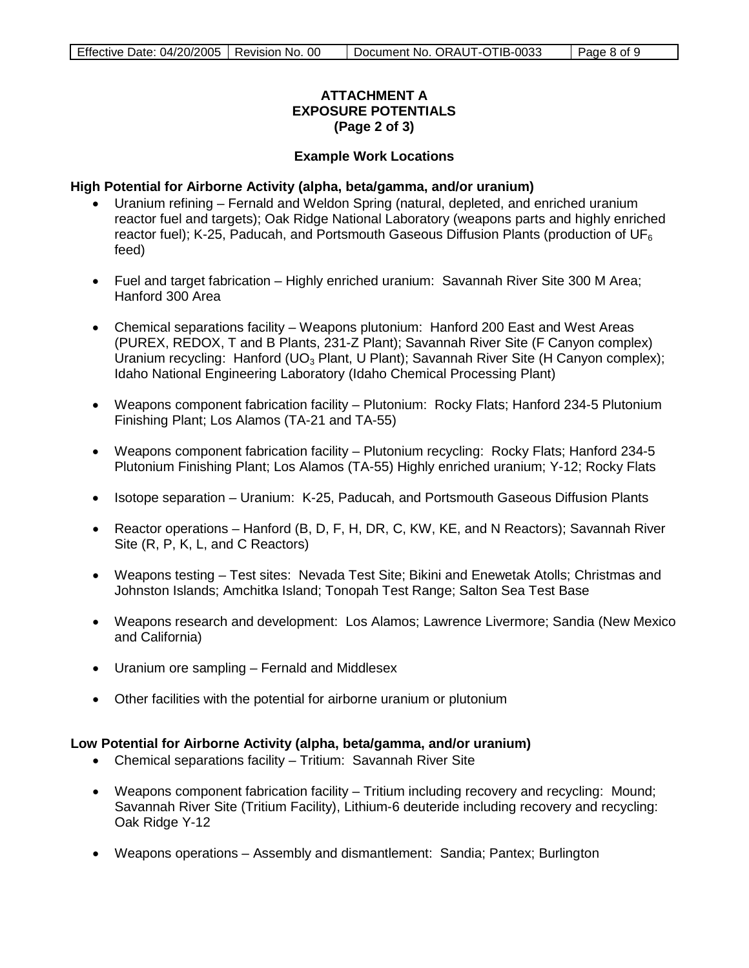## **ATTACHMENT A EXPOSURE POTENTIALS (Page 2 of 3)**

## **Example Work Locations**

#### **High Potential for Airborne Activity (alpha, beta/gamma, and/or uranium)**

- Uranium refining Fernald and Weldon Spring (natural, depleted, and enriched uranium reactor fuel and targets); Oak Ridge National Laboratory (weapons parts and highly enriched reactor fuel); K-25, Paducah, and Portsmouth Gaseous Diffusion Plants (production of  $UF_6$ feed)
- Fuel and target fabrication Highly enriched uranium: Savannah River Site 300 M Area; Hanford 300 Area
- Chemical separations facility Weapons plutonium: Hanford 200 East and West Areas (PUREX, REDOX, T and B Plants, 231-Z Plant); Savannah River Site (F Canyon complex) Uranium recycling: Hanford (UO<sub>3</sub> Plant, U Plant); Savannah River Site (H Canyon complex); Idaho National Engineering Laboratory (Idaho Chemical Processing Plant)
- Weapons component fabrication facility Plutonium: Rocky Flats; Hanford 234-5 Plutonium Finishing Plant; Los Alamos (TA-21 and TA-55)
- Weapons component fabrication facility Plutonium recycling: Rocky Flats; Hanford 234-5 Plutonium Finishing Plant; Los Alamos (TA-55) Highly enriched uranium; Y-12; Rocky Flats
- Isotope separation Uranium: K-25, Paducah, and Portsmouth Gaseous Diffusion Plants
- Reactor operations Hanford (B, D, F, H, DR, C, KW, KE, and N Reactors); Savannah River Site (R, P, K, L, and C Reactors)
- Weapons testing Test sites: Nevada Test Site; Bikini and Enewetak Atolls; Christmas and Johnston Islands; Amchitka Island; Tonopah Test Range; Salton Sea Test Base
- Weapons research and development: Los Alamos; Lawrence Livermore; Sandia (New Mexico and California)
- Uranium ore sampling Fernald and Middlesex
- Other facilities with the potential for airborne uranium or plutonium

### **Low Potential for Airborne Activity (alpha, beta/gamma, and/or uranium)**

- Chemical separations facility Tritium: Savannah River Site
- Weapons component fabrication facility Tritium including recovery and recycling: Mound; Savannah River Site (Tritium Facility), Lithium-6 deuteride including recovery and recycling: Oak Ridge Y-12
- Weapons operations Assembly and dismantlement: Sandia; Pantex; Burlington